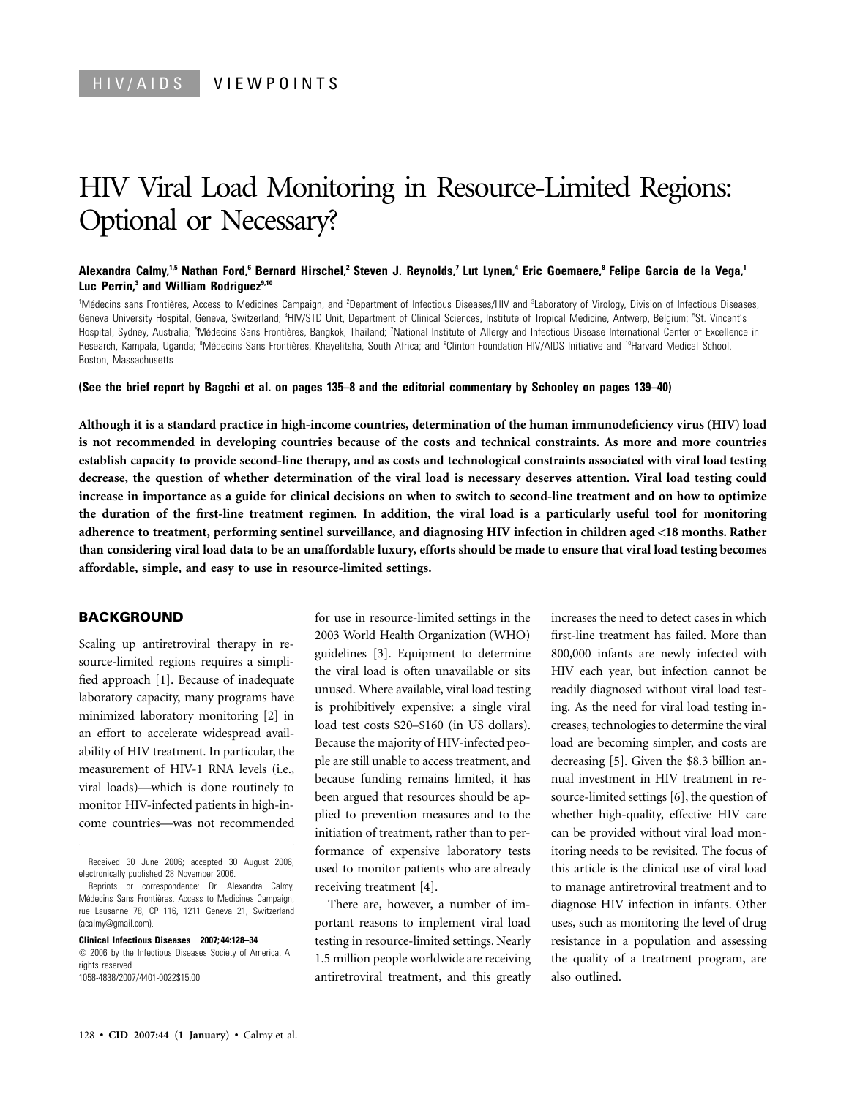# HIV Viral Load Monitoring in Resource-Limited Regions: Optional or Necessary?

### **Alexandra Calmy,1,5 Nathan Ford,6 Bernard Hirschel,2 Steven J. Reynolds,7 Lut Lynen,4 Eric Goemaere,8 Felipe Garcia de la Vega,1** Luc Perrin,<sup>3</sup> and William Rodriguez<sup>9,10</sup>

<sup>1</sup>Médecins sans Frontières, Access to Medicines Campaign, and <sup>2</sup>Department of Infectious Diseases/HIV and <sup>3</sup>Laboratory of Virology, Division of Infectious Diseases, Geneva University Hospital, Geneva, Switzerland; <sup>4</sup>HIV/STD Unit, Department of Clinical Sciences, Institute of Tropical Medicine, Antwerp, Belgium; <sup>5</sup>St. Vincent's Hospital, Sydney, Australia; <sup>6</sup>Médecins Sans Frontières, Bangkok, Thailand; 7National Institute of Allergy and Infectious Disease International Center of Excellence in Research, Kampala, Uganda; <sup>a</sup>Médecins Sans Frontières, Khayelitsha, South Africa; and <sup>a</sup>Clinton Foundation HIV/AIDS Initiative and <sup>10</sup>Harvard Medical School, Boston, Massachusetts

#### **(See the brief report by Bagchi et al. on pages 135–8 and the editorial commentary by Schooley on pages 139–40)**

**Although it is a standard practice in high-income countries, determination of the human immunodeficiency virus (HIV) load is not recommended in developing countries because of the costs and technical constraints. As more and more countries establish capacity to provide second-line therapy, and as costs and technological constraints associated with viral load testing decrease, the question of whether determination of the viral load is necessary deserves attention. Viral load testing could increase in importance as a guide for clinical decisions on when to switch to second-line treatment and on how to optimize the duration of the first-line treatment regimen. In addition, the viral load is a particularly useful tool for monitoring adherence to treatment, performing sentinel surveillance, and diagnosing HIV infection in children aged** !**18 months. Rather than considering viral load data to be an unaffordable luxury, efforts should be made to ensure that viral load testing becomes affordable, simple, and easy to use in resource-limited settings.**

## **BACKGROUND**

Scaling up antiretroviral therapy in resource-limited regions requires a simplified approach [1]. Because of inadequate laboratory capacity, many programs have minimized laboratory monitoring [2] in an effort to accelerate widespread availability of HIV treatment. In particular, the measurement of HIV-1 RNA levels (i.e., viral loads)—which is done routinely to monitor HIV-infected patients in high-income countries—was not recommended

Received 30 June 2006; accepted 30 August 2006; electronically published 28 November 2006.

Reprints or correspondence: Dr. Alexandra Calmy, Médecins Sans Frontières, Access to Medicines Campaign, rue Lausanne 78, CP 116, 1211 Geneva 21, Switzerland (acalmy@gmail.com).

**Clinical Infectious Diseases 2007; 44:128–34**

 $\odot$  2006 by the Infectious Diseases Society of America. All rights reserved. 1058-4838/2007/4401-0022\$15.00

for use in resource-limited settings in the 2003 World Health Organization (WHO) guidelines [3]. Equipment to determine the viral load is often unavailable or sits unused. Where available, viral load testing is prohibitively expensive: a single viral load test costs \$20–\$160 (in US dollars). Because the majority of HIV-infected people are still unable to access treatment, and because funding remains limited, it has been argued that resources should be applied to prevention measures and to the initiation of treatment, rather than to performance of expensive laboratory tests used to monitor patients who are already receiving treatment [4].

There are, however, a number of important reasons to implement viral load testing in resource-limited settings. Nearly 1.5 million people worldwide are receiving antiretroviral treatment, and this greatly increases the need to detect cases in which first-line treatment has failed. More than 800,000 infants are newly infected with HIV each year, but infection cannot be readily diagnosed without viral load testing. As the need for viral load testing increases, technologies to determine the viral load are becoming simpler, and costs are decreasing [5]. Given the \$8.3 billion annual investment in HIV treatment in resource-limited settings [6], the question of whether high-quality, effective HIV care can be provided without viral load monitoring needs to be revisited. The focus of this article is the clinical use of viral load to manage antiretroviral treatment and to diagnose HIV infection in infants. Other uses, such as monitoring the level of drug resistance in a population and assessing the quality of a treatment program, are also outlined.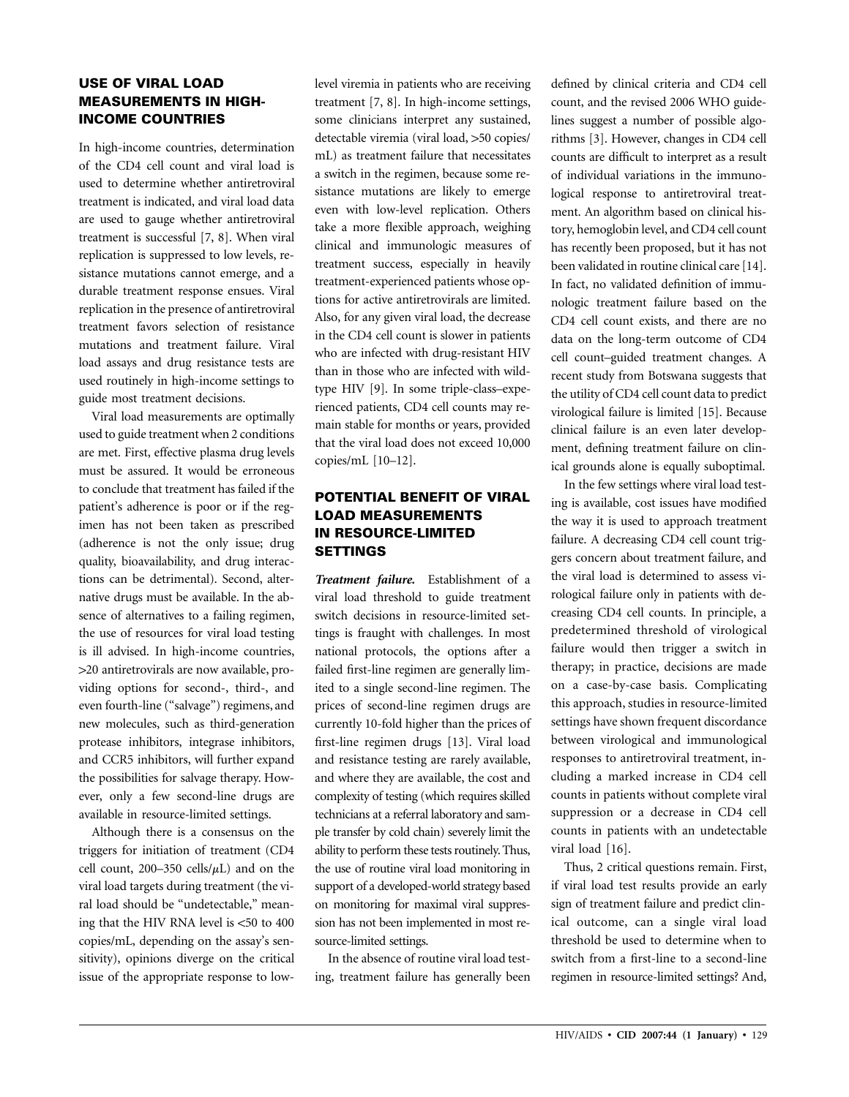# **USE OF VIRAL LOAD MEASUREMENTS IN HIGH-INCOME COUNTRIES**

In high-income countries, determination of the CD4 cell count and viral load is used to determine whether antiretroviral treatment is indicated, and viral load data are used to gauge whether antiretroviral treatment is successful [7, 8]. When viral replication is suppressed to low levels, resistance mutations cannot emerge, and a durable treatment response ensues. Viral replication in the presence of antiretroviral treatment favors selection of resistance mutations and treatment failure. Viral load assays and drug resistance tests are used routinely in high-income settings to guide most treatment decisions.

Viral load measurements are optimally used to guide treatment when 2 conditions are met. First, effective plasma drug levels must be assured. It would be erroneous to conclude that treatment has failed if the patient's adherence is poor or if the regimen has not been taken as prescribed (adherence is not the only issue; drug quality, bioavailability, and drug interactions can be detrimental). Second, alternative drugs must be available. In the absence of alternatives to a failing regimen, the use of resources for viral load testing is ill advised. In high-income countries, 120 antiretrovirals are now available, providing options for second-, third-, and even fourth-line ("salvage") regimens, and new molecules, such as third-generation protease inhibitors, integrase inhibitors, and CCR5 inhibitors, will further expand the possibilities for salvage therapy. However, only a few second-line drugs are available in resource-limited settings.

Although there is a consensus on the triggers for initiation of treatment (CD4 cell count,  $200-350$  cells/ $\mu$ L) and on the viral load targets during treatment (the viral load should be "undetectable," meaning that the HIV RNA level is  $<50$  to 400 copies/mL, depending on the assay's sensitivity), opinions diverge on the critical issue of the appropriate response to lowlevel viremia in patients who are receiving treatment [7, 8]. In high-income settings, some clinicians interpret any sustained, detectable viremia (viral load, >50 copies/ mL) as treatment failure that necessitates a switch in the regimen, because some resistance mutations are likely to emerge even with low-level replication. Others take a more flexible approach, weighing clinical and immunologic measures of treatment success, especially in heavily treatment-experienced patients whose options for active antiretrovirals are limited. Also, for any given viral load, the decrease in the CD4 cell count is slower in patients who are infected with drug-resistant HIV than in those who are infected with wildtype HIV [9]. In some triple-class–experienced patients, CD4 cell counts may remain stable for months or years, provided that the viral load does not exceed 10,000 copies/mL [10–12].

# **POTENTIAL BENEFIT OF VIRAL LOAD MEASUREMENTS IN RESOURCE-LIMITED SETTINGS**

*Treatment failure.* Establishment of a viral load threshold to guide treatment switch decisions in resource-limited settings is fraught with challenges. In most national protocols, the options after a failed first-line regimen are generally limited to a single second-line regimen. The prices of second-line regimen drugs are currently 10-fold higher than the prices of first-line regimen drugs [13]. Viral load and resistance testing are rarely available, and where they are available, the cost and complexity of testing (which requires skilled technicians at a referral laboratory and sample transfer by cold chain) severely limit the ability to perform these tests routinely. Thus, the use of routine viral load monitoring in support of a developed-world strategy based on monitoring for maximal viral suppression has not been implemented in most resource-limited settings.

In the absence of routine viral load testing, treatment failure has generally been

defined by clinical criteria and CD4 cell count, and the revised 2006 WHO guidelines suggest a number of possible algorithms [3]. However, changes in CD4 cell counts are difficult to interpret as a result of individual variations in the immunological response to antiretroviral treatment. An algorithm based on clinical history, hemoglobin level, and CD4 cell count has recently been proposed, but it has not been validated in routine clinical care [14]. In fact, no validated definition of immunologic treatment failure based on the CD4 cell count exists, and there are no data on the long-term outcome of CD4 cell count–guided treatment changes. A recent study from Botswana suggests that the utility of CD4 cell count data to predict virological failure is limited [15]. Because clinical failure is an even later development, defining treatment failure on clinical grounds alone is equally suboptimal.

In the few settings where viral load testing is available, cost issues have modified the way it is used to approach treatment failure. A decreasing CD4 cell count triggers concern about treatment failure, and the viral load is determined to assess virological failure only in patients with decreasing CD4 cell counts. In principle, a predetermined threshold of virological failure would then trigger a switch in therapy; in practice, decisions are made on a case-by-case basis. Complicating this approach, studies in resource-limited settings have shown frequent discordance between virological and immunological responses to antiretroviral treatment, including a marked increase in CD4 cell counts in patients without complete viral suppression or a decrease in CD4 cell counts in patients with an undetectable viral load [16].

Thus, 2 critical questions remain. First, if viral load test results provide an early sign of treatment failure and predict clinical outcome, can a single viral load threshold be used to determine when to switch from a first-line to a second-line regimen in resource-limited settings? And,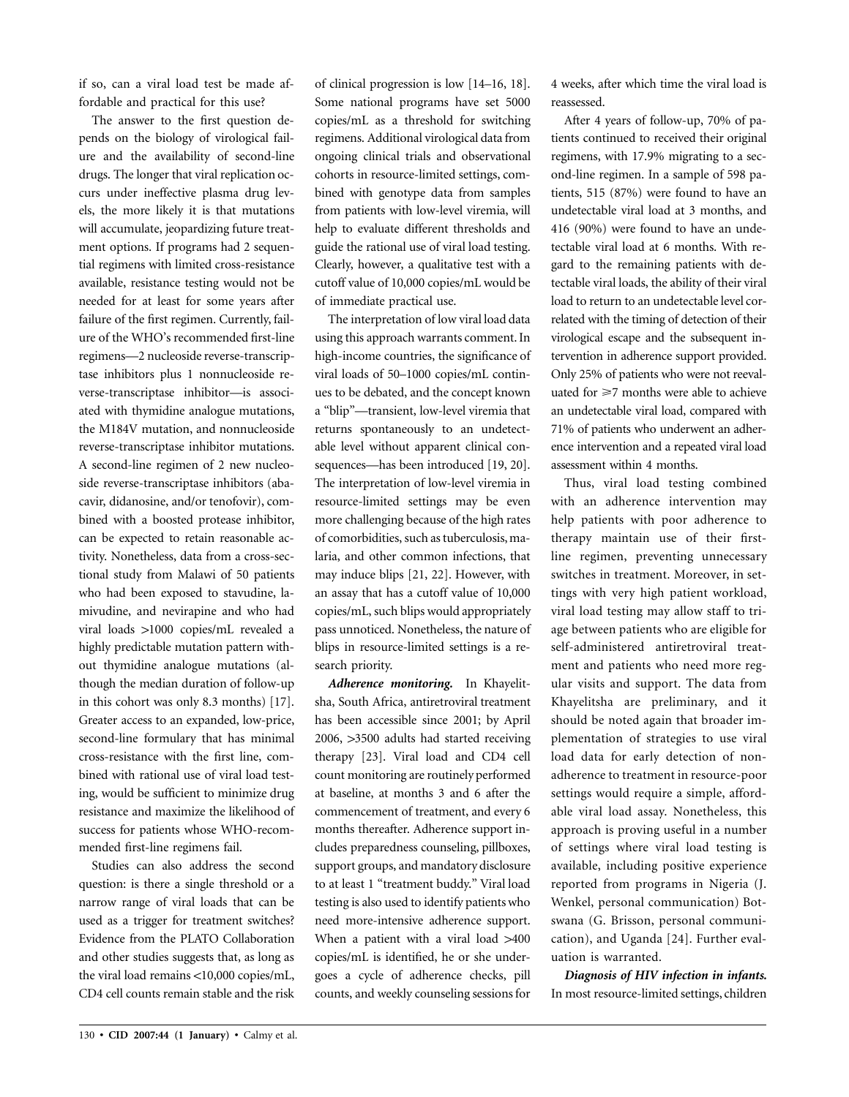if so, can a viral load test be made affordable and practical for this use?

The answer to the first question depends on the biology of virological failure and the availability of second-line drugs. The longer that viral replication occurs under ineffective plasma drug levels, the more likely it is that mutations will accumulate, jeopardizing future treatment options. If programs had 2 sequential regimens with limited cross-resistance available, resistance testing would not be needed for at least for some years after failure of the first regimen. Currently, failure of the WHO's recommended first-line regimens—2 nucleoside reverse-transcriptase inhibitors plus 1 nonnucleoside reverse-transcriptase inhibitor—is associated with thymidine analogue mutations, the M184V mutation, and nonnucleoside reverse-transcriptase inhibitor mutations. A second-line regimen of 2 new nucleoside reverse-transcriptase inhibitors (abacavir, didanosine, and/or tenofovir), combined with a boosted protease inhibitor, can be expected to retain reasonable activity. Nonetheless, data from a cross-sectional study from Malawi of 50 patients who had been exposed to stavudine, lamivudine, and nevirapine and who had viral loads 11000 copies/mL revealed a highly predictable mutation pattern without thymidine analogue mutations (although the median duration of follow-up in this cohort was only 8.3 months) [17]. Greater access to an expanded, low-price, second-line formulary that has minimal cross-resistance with the first line, combined with rational use of viral load testing, would be sufficient to minimize drug resistance and maximize the likelihood of success for patients whose WHO-recommended first-line regimens fail.

Studies can also address the second question: is there a single threshold or a narrow range of viral loads that can be used as a trigger for treatment switches? Evidence from the PLATO Collaboration and other studies suggests that, as long as the viral load remains  $<$ 10,000 copies/mL, CD4 cell counts remain stable and the risk of clinical progression is low [14–16, 18]. Some national programs have set 5000 copies/mL as a threshold for switching regimens. Additional virological data from ongoing clinical trials and observational cohorts in resource-limited settings, combined with genotype data from samples from patients with low-level viremia, will help to evaluate different thresholds and guide the rational use of viral load testing. Clearly, however, a qualitative test with a cutoff value of 10,000 copies/mL would be of immediate practical use.

The interpretation of low viral load data using this approach warrants comment. In high-income countries, the significance of viral loads of 50–1000 copies/mL continues to be debated, and the concept known a "blip"—transient, low-level viremia that returns spontaneously to an undetectable level without apparent clinical consequences—has been introduced [19, 20]. The interpretation of low-level viremia in resource-limited settings may be even more challenging because of the high rates of comorbidities, such as tuberculosis, malaria, and other common infections, that may induce blips [21, 22]. However, with an assay that has a cutoff value of 10,000 copies/mL, such blips would appropriately pass unnoticed. Nonetheless, the nature of blips in resource-limited settings is a research priority.

*Adherence monitoring.* In Khayelitsha, South Africa, antiretroviral treatment has been accessible since 2001; by April 2006, >3500 adults had started receiving therapy [23]. Viral load and CD4 cell count monitoring are routinely performed at baseline, at months 3 and 6 after the commencement of treatment, and every 6 months thereafter. Adherence support includes preparedness counseling, pillboxes, support groups, and mandatory disclosure to at least 1 "treatment buddy." Viral load testing is also used to identify patients who need more-intensive adherence support. When a patient with a viral load  $>400$ copies/mL is identified, he or she undergoes a cycle of adherence checks, pill counts, and weekly counseling sessions for 4 weeks, after which time the viral load is reassessed.

After 4 years of follow-up, 70% of patients continued to received their original regimens, with 17.9% migrating to a second-line regimen. In a sample of 598 patients, 515 (87%) were found to have an undetectable viral load at 3 months, and 416 (90%) were found to have an undetectable viral load at 6 months. With regard to the remaining patients with detectable viral loads, the ability of their viral load to return to an undetectable level correlated with the timing of detection of their virological escape and the subsequent intervention in adherence support provided. Only 25% of patients who were not reevaluated for  $\geq$  7 months were able to achieve an undetectable viral load, compared with 71% of patients who underwent an adherence intervention and a repeated viral load assessment within 4 months.

Thus, viral load testing combined with an adherence intervention may help patients with poor adherence to therapy maintain use of their firstline regimen, preventing unnecessary switches in treatment. Moreover, in settings with very high patient workload, viral load testing may allow staff to triage between patients who are eligible for self-administered antiretroviral treatment and patients who need more regular visits and support. The data from Khayelitsha are preliminary, and it should be noted again that broader implementation of strategies to use viral load data for early detection of nonadherence to treatment in resource-poor settings would require a simple, affordable viral load assay. Nonetheless, this approach is proving useful in a number of settings where viral load testing is available, including positive experience reported from programs in Nigeria (J. Wenkel, personal communication) Botswana (G. Brisson, personal communication), and Uganda [24]. Further evaluation is warranted.

*Diagnosis of HIV infection in infants.* In most resource-limited settings, children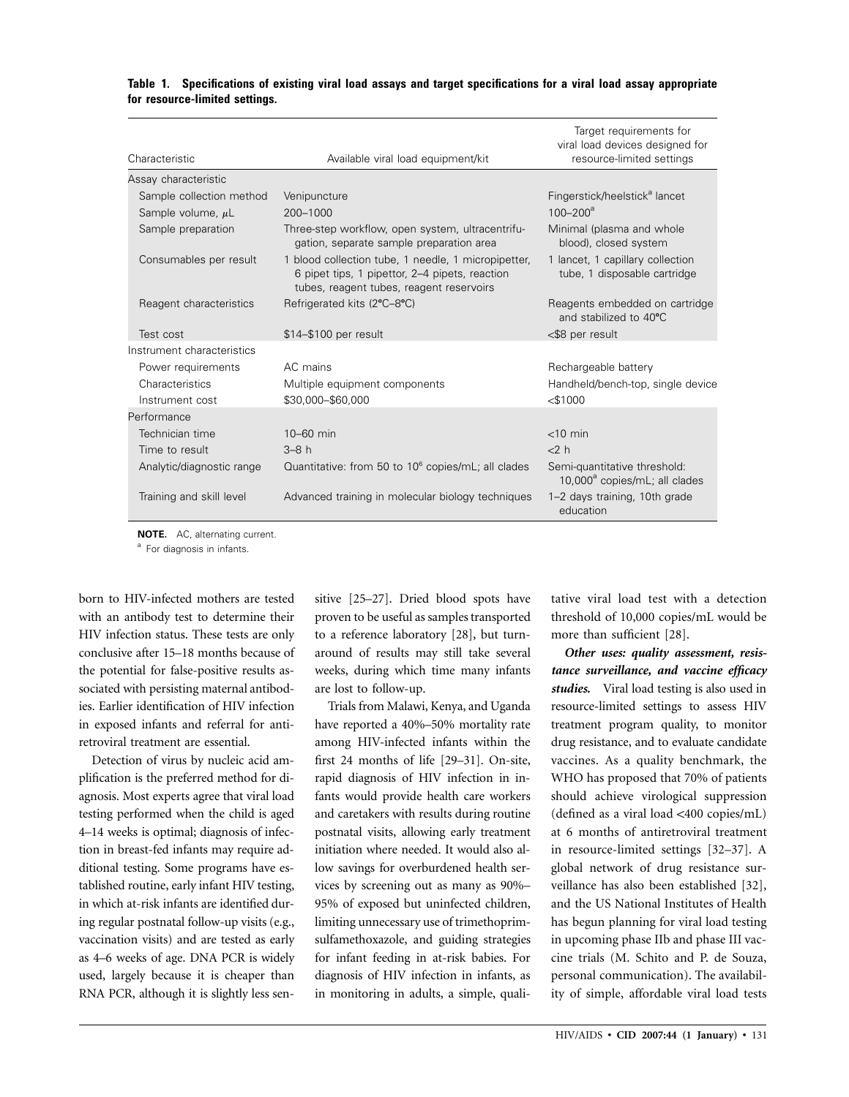| Characteristic             | Available viral load equipment/kit                                                                                                                | Target requirements for<br>viral load devices designed for<br>resource-limited settings |  |  |
|----------------------------|---------------------------------------------------------------------------------------------------------------------------------------------------|-----------------------------------------------------------------------------------------|--|--|
| Assay characteristic       |                                                                                                                                                   |                                                                                         |  |  |
| Sample collection method   | Venipuncture                                                                                                                                      | Fingerstick/heelstick <sup>a</sup> lancet                                               |  |  |
| Sample volume, $\mu$ L     | 200-1000                                                                                                                                          | $100 - 200^a$                                                                           |  |  |
| Sample preparation         | Three-step workflow, open system, ultracentrifu-<br>gation, separate sample preparation area                                                      | Minimal (plasma and whole<br>blood), closed system                                      |  |  |
| Consumables per result     | 1 blood collection tube, 1 needle, 1 micropipetter,<br>6 pipet tips, 1 pipettor, 2–4 pipets, reaction<br>tubes, reagent tubes, reagent reservoirs | 1 lancet, 1 capillary collection<br>tube, 1 disposable cartridge                        |  |  |
| Reagent characteristics    | Refrigerated kits (2°C-8°C)                                                                                                                       | Reagents embedded on cartridge<br>and stabilized to 40°C                                |  |  |
| Test cost                  | \$14-\$100 per result                                                                                                                             | <\$8 per result                                                                         |  |  |
| Instrument characteristics |                                                                                                                                                   |                                                                                         |  |  |
| Power requirements         | AC mains                                                                                                                                          | Rechargeable battery                                                                    |  |  |
| Characteristics            | Multiple equipment components                                                                                                                     | Handheld/bench-top, single device                                                       |  |  |
| Instrument cost            | \$30,000-\$60,000                                                                                                                                 | $<$ \$1000                                                                              |  |  |
| Performance                |                                                                                                                                                   |                                                                                         |  |  |
| Technician time            | $10 - 60$ min                                                                                                                                     | $<$ 10 min                                                                              |  |  |
| Time to result             | $3-8h$                                                                                                                                            | 2h                                                                                      |  |  |
| Analytic/diagnostic range  | Quantitative: from 50 to 10 <sup>6</sup> copies/mL; all clades                                                                                    | Semi-quantitative threshold:<br>$10,000^a$ copies/mL; all clades                        |  |  |
| Training and skill level   | Advanced training in molecular biology techniques                                                                                                 | 1-2 days training, 10th grade<br>education                                              |  |  |

## **Table 1. Specifications of existing viral load assays and target specifications for a viral load assay appropriate for resource-limited settings.**

**NOTE.** AC, alternating current.

<sup>a</sup> For diagnosis in infants.

born to HIV-infected mothers are tested with an antibody test to determine their HIV infection status. These tests are only conclusive after 15–18 months because of the potential for false-positive results associated with persisting maternal antibodies. Earlier identification of HIV infection in exposed infants and referral for antiretroviral treatment are essential.

Detection of virus by nucleic acid amplification is the preferred method for diagnosis. Most experts agree that viral load testing performed when the child is aged 4–14 weeks is optimal; diagnosis of infection in breast-fed infants may require additional testing. Some programs have established routine, early infant HIV testing, in which at-risk infants are identified during regular postnatal follow-up visits (e.g., vaccination visits) and are tested as early as 4–6 weeks of age. DNA PCR is widely used, largely because it is cheaper than RNA PCR, although it is slightly less sensitive [25–27]. Dried blood spots have proven to be useful as samples transported to a reference laboratory [28], but turnaround of results may still take several weeks, during which time many infants are lost to follow-up.

Trials from Malawi, Kenya, and Uganda have reported a 40%–50% mortality rate among HIV-infected infants within the first 24 months of life [29–31]. On-site, rapid diagnosis of HIV infection in infants would provide health care workers and caretakers with results during routine postnatal visits, allowing early treatment initiation where needed. It would also allow savings for overburdened health services by screening out as many as 90%– 95% of exposed but uninfected children, limiting unnecessary use of trimethoprimsulfamethoxazole, and guiding strategies for infant feeding in at-risk babies. For diagnosis of HIV infection in infants, as in monitoring in adults, a simple, qualitative viral load test with a detection threshold of 10,000 copies/mL would be more than sufficient [28].

*Other uses: quality assessment, resistance surveillance, and vaccine efficacy studies.* Viral load testing is also used in resource-limited settings to assess HIV treatment program quality, to monitor drug resistance, and to evaluate candidate vaccines. As a quality benchmark, the WHO has proposed that 70% of patients should achieve virological suppression  $(defined as a viral load < 400 copies/mL)$ at 6 months of antiretroviral treatment in resource-limited settings [32–37]. A global network of drug resistance surveillance has also been established [32], and the US National Institutes of Health has begun planning for viral load testing in upcoming phase IIb and phase III vaccine trials (M. Schito and P. de Souza, personal communication). The availability of simple, affordable viral load tests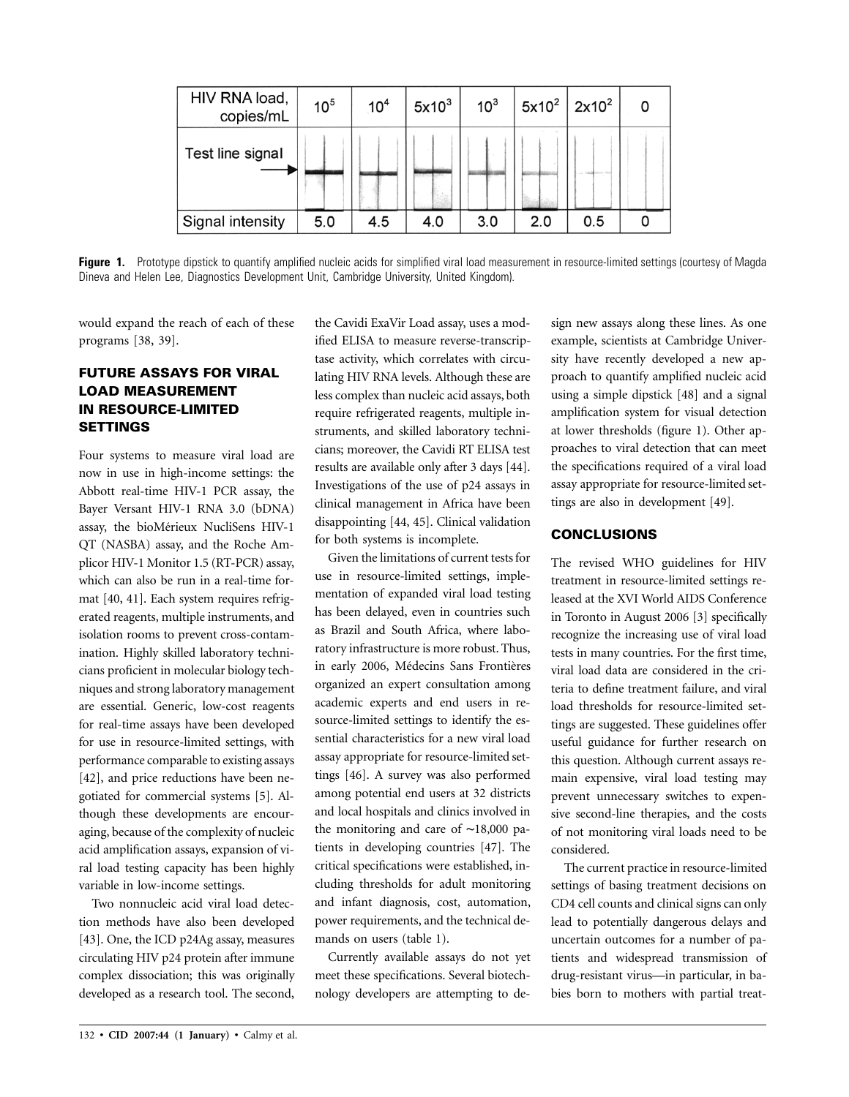| HIV RNA load,<br>copies/mL | 10 <sup>5</sup> | 10 <sup>4</sup> | $5x10^3$ | 10 <sup>3</sup> | $5x10^2$ 2x10 <sup>2</sup> |     |  |
|----------------------------|-----------------|-----------------|----------|-----------------|----------------------------|-----|--|
| Test line signal           |                 |                 |          |                 |                            |     |  |
| Signal intensity           | 5.0             | 4.5             | 4.0      | 3.0             | 2.0                        | 0.5 |  |

Figure 1. Prototype dipstick to quantify amplified nucleic acids for simplified viral load measurement in resource-limited settings (courtesy of Magda Dineva and Helen Lee, Diagnostics Development Unit, Cambridge University, United Kingdom).

would expand the reach of each of these programs [38, 39].

# **FUTURE ASSAYS FOR VIRAL LOAD MEASUREMENT IN RESOURCE-LIMITED SETTINGS**

Four systems to measure viral load are now in use in high-income settings: the Abbott real-time HIV-1 PCR assay, the Bayer Versant HIV-1 RNA 3.0 (bDNA) assay, the bioMérieux NucliSens HIV-1 QT (NASBA) assay, and the Roche Amplicor HIV-1 Monitor 1.5 (RT-PCR) assay, which can also be run in a real-time format [40, 41]. Each system requires refrigerated reagents, multiple instruments, and isolation rooms to prevent cross-contamination. Highly skilled laboratory technicians proficient in molecular biology techniques and strong laboratory management are essential. Generic, low-cost reagents for real-time assays have been developed for use in resource-limited settings, with performance comparable to existing assays [42], and price reductions have been negotiated for commercial systems [5]. Although these developments are encouraging, because of the complexity of nucleic acid amplification assays, expansion of viral load testing capacity has been highly variable in low-income settings.

Two nonnucleic acid viral load detection methods have also been developed [43]. One, the ICD p24Ag assay, measures circulating HIV p24 protein after immune complex dissociation; this was originally developed as a research tool. The second, the Cavidi ExaVir Load assay, uses a modified ELISA to measure reverse-transcriptase activity, which correlates with circulating HIV RNA levels. Although these are less complex than nucleic acid assays, both require refrigerated reagents, multiple instruments, and skilled laboratory technicians; moreover, the Cavidi RT ELISA test results are available only after 3 days [44]. Investigations of the use of p24 assays in clinical management in Africa have been disappointing [44, 45]. Clinical validation for both systems is incomplete.

Given the limitations of current tests for use in resource-limited settings, implementation of expanded viral load testing has been delayed, even in countries such as Brazil and South Africa, where laboratory infrastructure is more robust. Thus, in early 2006, Médecins Sans Frontières organized an expert consultation among academic experts and end users in resource-limited settings to identify the essential characteristics for a new viral load assay appropriate for resource-limited settings [46]. A survey was also performed among potential end users at 32 districts and local hospitals and clinics involved in the monitoring and care of ∼18,000 patients in developing countries [47]. The critical specifications were established, including thresholds for adult monitoring and infant diagnosis, cost, automation, power requirements, and the technical demands on users (table 1).

Currently available assays do not yet meet these specifications. Several biotechnology developers are attempting to design new assays along these lines. As one example, scientists at Cambridge University have recently developed a new approach to quantify amplified nucleic acid using a simple dipstick [48] and a signal amplification system for visual detection at lower thresholds (figure 1). Other approaches to viral detection that can meet the specifications required of a viral load assay appropriate for resource-limited settings are also in development [49].

## **CONCLUSIONS**

The revised WHO guidelines for HIV treatment in resource-limited settings released at the XVI World AIDS Conference in Toronto in August 2006 [3] specifically recognize the increasing use of viral load tests in many countries. For the first time, viral load data are considered in the criteria to define treatment failure, and viral load thresholds for resource-limited settings are suggested. These guidelines offer useful guidance for further research on this question. Although current assays remain expensive, viral load testing may prevent unnecessary switches to expensive second-line therapies, and the costs of not monitoring viral loads need to be considered.

The current practice in resource-limited settings of basing treatment decisions on CD4 cell counts and clinical signs can only lead to potentially dangerous delays and uncertain outcomes for a number of patients and widespread transmission of drug-resistant virus—in particular, in babies born to mothers with partial treat-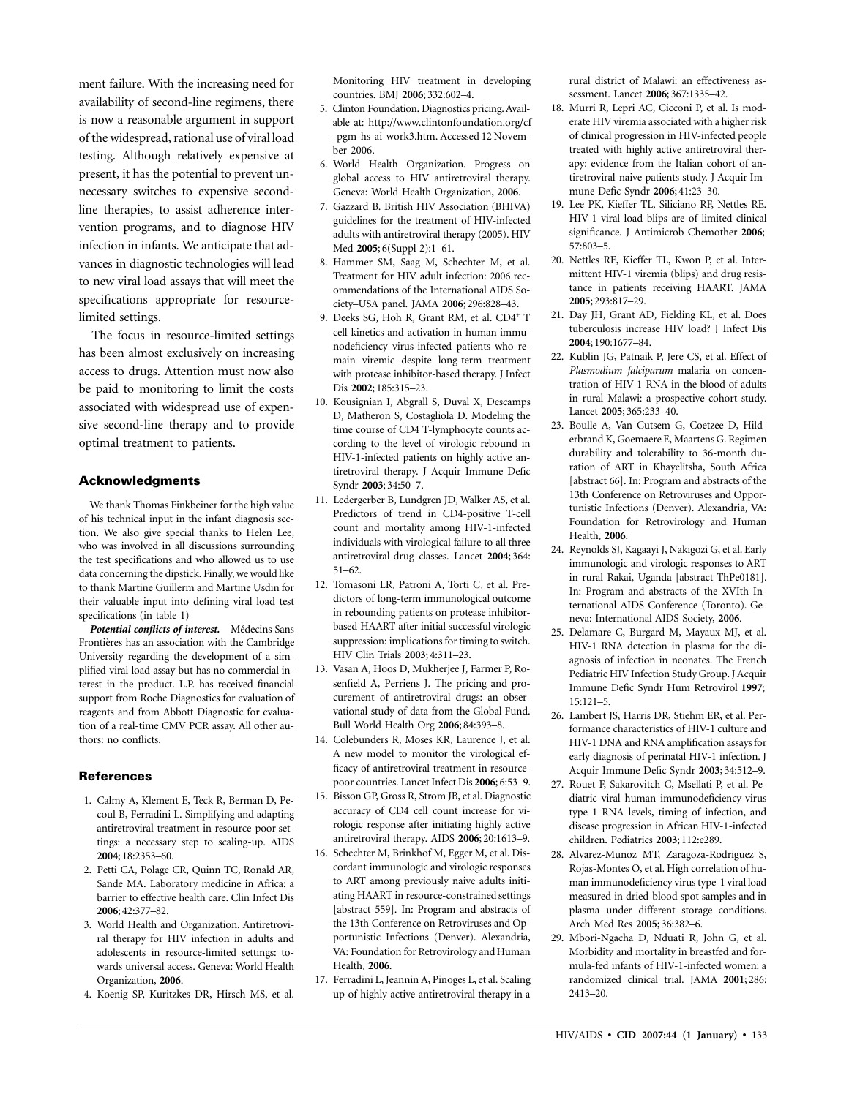ment failure. With the increasing need for availability of second-line regimens, there is now a reasonable argument in support of the widespread, rational use of viral load testing. Although relatively expensive at present, it has the potential to prevent unnecessary switches to expensive secondline therapies, to assist adherence intervention programs, and to diagnose HIV infection in infants. We anticipate that advances in diagnostic technologies will lead to new viral load assays that will meet the specifications appropriate for resourcelimited settings.

The focus in resource-limited settings has been almost exclusively on increasing access to drugs. Attention must now also be paid to monitoring to limit the costs associated with widespread use of expensive second-line therapy and to provide optimal treatment to patients.

#### **Acknowledgments**

We thank Thomas Finkbeiner for the high value of his technical input in the infant diagnosis section. We also give special thanks to Helen Lee, who was involved in all discussions surrounding the test specifications and who allowed us to use data concerning the dipstick. Finally, we would like to thank Martine Guillerm and Martine Usdin for their valuable input into defining viral load test specifications (in table 1)

Potential conflicts of interest. Médecins Sans Frontières has an association with the Cambridge University regarding the development of a simplified viral load assay but has no commercial interest in the product. L.P. has received financial support from Roche Diagnostics for evaluation of reagents and from Abbott Diagnostic for evaluation of a real-time CMV PCR assay. All other authors: no conflicts.

### **References**

- 1. Calmy A, Klement E, Teck R, Berman D, Pecoul B, Ferradini L. Simplifying and adapting antiretroviral treatment in resource-poor settings: a necessary step to scaling-up. AIDS **2004**; 18:2353–60.
- 2. Petti CA, Polage CR, Quinn TC, Ronald AR, Sande MA. Laboratory medicine in Africa: a barrier to effective health care. Clin Infect Dis **2006**; 42:377–82.
- 3. World Health and Organization. Antiretroviral therapy for HIV infection in adults and adolescents in resource-limited settings: towards universal access. Geneva: World Health Organization, **2006**.
- 4. Koenig SP, Kuritzkes DR, Hirsch MS, et al.

Monitoring HIV treatment in developing countries. BMJ **2006**; 332:602–4.

- 5. Clinton Foundation. Diagnostics pricing. Available at: http://www.clintonfoundation.org/cf -pgm-hs-ai-work3.htm. Accessed 12 November 2006.
- 6. World Health Organization. Progress on global access to HIV antiretroviral therapy. Geneva: World Health Organization, **2006**.
- 7. Gazzard B. British HIV Association (BHIVA) guidelines for the treatment of HIV-infected adults with antiretroviral therapy (2005). HIV Med **2005**; 6(Suppl 2):1–61.
- 8. Hammer SM, Saag M, Schechter M, et al. Treatment for HIV adult infection: 2006 recommendations of the International AIDS Society–USA panel. JAMA **2006**; 296:828–43.
- 9. Deeks SG, Hoh R, Grant RM, et al. CD4<sup>+</sup> T cell kinetics and activation in human immunodeficiency virus-infected patients who remain viremic despite long-term treatment with protease inhibitor-based therapy. J Infect Dis **2002**; 185:315–23.
- 10. Kousignian I, Abgrall S, Duval X, Descamps D, Matheron S, Costagliola D. Modeling the time course of CD4 T-lymphocyte counts according to the level of virologic rebound in HIV-1-infected patients on highly active antiretroviral therapy. J Acquir Immune Defic Syndr **2003**; 34:50–7.
- 11. Ledergerber B, Lundgren JD, Walker AS, et al. Predictors of trend in CD4-positive T-cell count and mortality among HIV-1-infected individuals with virological failure to all three antiretroviral-drug classes. Lancet **2004**; 364: 51–62.
- 12. Tomasoni LR, Patroni A, Torti C, et al. Predictors of long-term immunological outcome in rebounding patients on protease inhibitorbased HAART after initial successful virologic suppression: implications for timing to switch. HIV Clin Trials **2003**; 4:311–23.
- 13. Vasan A, Hoos D, Mukherjee J, Farmer P, Rosenfield A, Perriens J. The pricing and procurement of antiretroviral drugs: an observational study of data from the Global Fund. Bull World Health Org **2006**; 84:393–8.
- 14. Colebunders R, Moses KR, Laurence J, et al. A new model to monitor the virological efficacy of antiretroviral treatment in resourcepoor countries. Lancet Infect Dis **2006**; 6:53–9.
- 15. Bisson GP, Gross R, Strom JB, et al. Diagnostic accuracy of CD4 cell count increase for virologic response after initiating highly active antiretroviral therapy. AIDS **2006**; 20:1613–9.
- 16. Schechter M, Brinkhof M, Egger M, et al. Discordant immunologic and virologic responses to ART among previously naive adults initiating HAART in resource-constrained settings [abstract 559]. In: Program and abstracts of the 13th Conference on Retroviruses and Opportunistic Infections (Denver). Alexandria, VA: Foundation for Retrovirology and Human Health, **2006**.
- 17. Ferradini L, Jeannin A, Pinoges L, et al. Scaling up of highly active antiretroviral therapy in a

rural district of Malawi: an effectiveness assessment. Lancet **2006**; 367:1335–42.

- 18. Murri R, Lepri AC, Cicconi P, et al. Is moderate HIV viremia associated with a higher risk of clinical progression in HIV-infected people treated with highly active antiretroviral therapy: evidence from the Italian cohort of antiretroviral-naive patients study. J Acquir Immune Defic Syndr **2006**; 41:23–30.
- 19. Lee PK, Kieffer TL, Siliciano RF, Nettles RE. HIV-1 viral load blips are of limited clinical significance. J Antimicrob Chemother **2006**; 57:803–5.
- 20. Nettles RE, Kieffer TL, Kwon P, et al. Intermittent HIV-1 viremia (blips) and drug resistance in patients receiving HAART. JAMA **2005**; 293:817–29.
- 21. Day JH, Grant AD, Fielding KL, et al. Does tuberculosis increase HIV load? J Infect Dis **2004**; 190:1677–84.
- 22. Kublin JG, Patnaik P, Jere CS, et al. Effect of *Plasmodium falciparum* malaria on concentration of HIV-1-RNA in the blood of adults in rural Malawi: a prospective cohort study. Lancet **2005**; 365:233–40.
- 23. Boulle A, Van Cutsem G, Coetzee D, Hilderbrand K, Goemaere E, Maartens G. Regimen durability and tolerability to 36-month duration of ART in Khayelitsha, South Africa [abstract 66]. In: Program and abstracts of the 13th Conference on Retroviruses and Opportunistic Infections (Denver). Alexandria, VA: Foundation for Retrovirology and Human Health, **2006**.
- 24. Reynolds SJ, Kagaayi J, Nakigozi G, et al. Early immunologic and virologic responses to ART in rural Rakai, Uganda [abstract ThPe0181]. In: Program and abstracts of the XVIth International AIDS Conference (Toronto). Geneva: International AIDS Society, **2006**.
- 25. Delamare C, Burgard M, Mayaux MJ, et al. HIV-1 RNA detection in plasma for the diagnosis of infection in neonates. The French Pediatric HIV Infection Study Group. J Acquir Immune Defic Syndr Hum Retrovirol **1997**; 15:121–5.
- 26. Lambert JS, Harris DR, Stiehm ER, et al. Performance characteristics of HIV-1 culture and HIV-1 DNA and RNA amplification assays for early diagnosis of perinatal HIV-1 infection. J Acquir Immune Defic Syndr **2003**; 34:512–9.
- 27. Rouet F, Sakarovitch C, Msellati P, et al. Pediatric viral human immunodeficiency virus type 1 RNA levels, timing of infection, and disease progression in African HIV-1-infected children. Pediatrics **2003**; 112:e289.
- 28. Alvarez-Munoz MT, Zaragoza-Rodriguez S, Rojas-Montes O, et al. High correlation of human immunodeficiency virus type-1 viral load measured in dried-blood spot samples and in plasma under different storage conditions. Arch Med Res **2005**; 36:382–6.
- 29. Mbori-Ngacha D, Nduati R, John G, et al. Morbidity and mortality in breastfed and formula-fed infants of HIV-1-infected women: a randomized clinical trial. JAMA **2001**; 286: 2413–20.